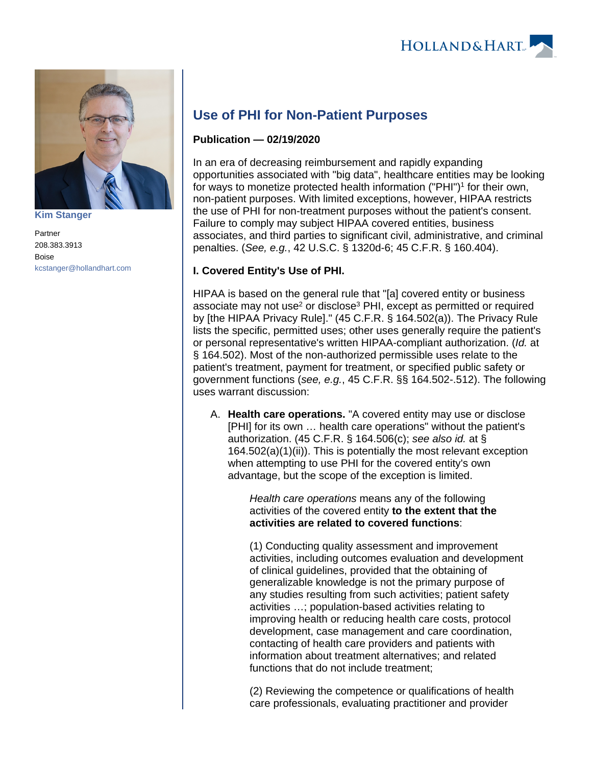



**[Kim Stanger](https://www.hollandhart.com/15954)**

Partner 208.383.3913 Boise [kcstanger@hollandhart.com](mailto:kcstanger@hollandhart.com)

# **Use of PHI for Non-Patient Purposes**

## **Publication — 02/19/2020**

In an era of decreasing reimbursement and rapidly expanding opportunities associated with "big data", healthcare entities may be looking for ways to monetize protected health information ("PHI")<sup>1</sup> for their own, non-patient purposes. With limited exceptions, however, HIPAA restricts the use of PHI for non-treatment purposes without the patient's consent. Failure to comply may subject HIPAA covered entities, business associates, and third parties to significant civil, administrative, and criminal penalties. (See, e.g., 42 U.S.C. § 1320d-6; 45 C.F.R. § 160.404).

# **I. Covered Entity's Use of PHI.**

HIPAA is based on the general rule that "[a] covered entity or business associate may not use<sup>2</sup> or disclose<sup>3</sup> PHI, except as permitted or required by [the HIPAA Privacy Rule]." (45 C.F.R. § 164.502(a)). The Privacy Rule lists the specific, permitted uses; other uses generally require the patient's or personal representative's written HIPAA-compliant authorization. (Id. at § 164.502). Most of the non-authorized permissible uses relate to the patient's treatment, payment for treatment, or specified public safety or government functions (see, e.g., 45 C.F.R. §§ 164.502-.512). The following uses warrant discussion:

A. **Health care operations.** "A covered entity may use or disclose [PHI] for its own … health care operations" without the patient's authorization. (45 C.F.R. § 164.506(c); see also id. at § 164.502(a)(1)(ii)). This is potentially the most relevant exception when attempting to use PHI for the covered entity's own advantage, but the scope of the exception is limited.

> Health care operations means any of the following activities of the covered entity **to the extent that the activities are related to covered functions**:

(1) Conducting quality assessment and improvement activities, including outcomes evaluation and development of clinical guidelines, provided that the obtaining of generalizable knowledge is not the primary purpose of any studies resulting from such activities; patient safety activities …; population-based activities relating to improving health or reducing health care costs, protocol development, case management and care coordination, contacting of health care providers and patients with information about treatment alternatives; and related functions that do not include treatment;

(2) Reviewing the competence or qualifications of health care professionals, evaluating practitioner and provider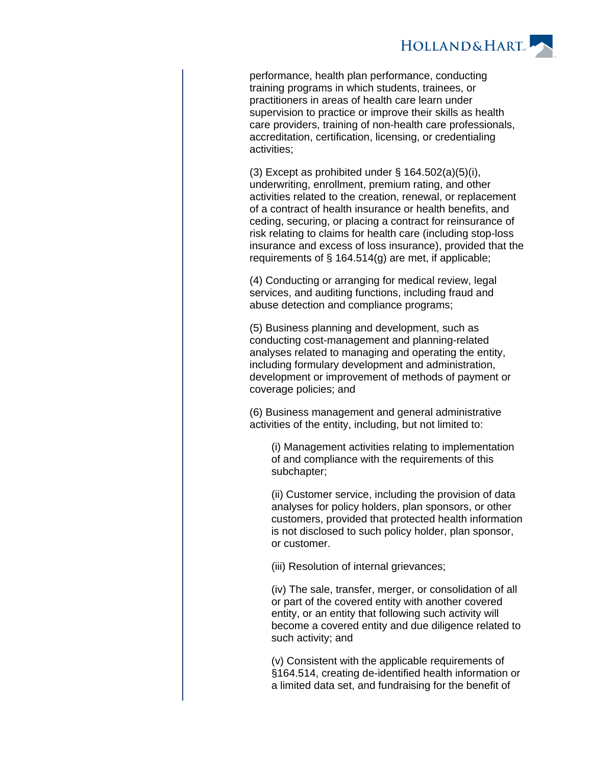

performance, health plan performance, conducting training programs in which students, trainees, or practitioners in areas of health care learn under supervision to practice or improve their skills as health care providers, training of non-health care professionals, accreditation, certification, licensing, or credentialing activities;

(3) Except as prohibited under  $\S$  164.502(a)(5)(i), underwriting, enrollment, premium rating, and other activities related to the creation, renewal, or replacement of a contract of health insurance or health benefits, and ceding, securing, or placing a contract for reinsurance of risk relating to claims for health care (including stop-loss insurance and excess of loss insurance), provided that the requirements of § 164.514(g) are met, if applicable;

(4) Conducting or arranging for medical review, legal services, and auditing functions, including fraud and abuse detection and compliance programs;

(5) Business planning and development, such as conducting cost-management and planning-related analyses related to managing and operating the entity, including formulary development and administration, development or improvement of methods of payment or coverage policies; and

(6) Business management and general administrative activities of the entity, including, but not limited to:

(i) Management activities relating to implementation of and compliance with the requirements of this subchapter;

(ii) Customer service, including the provision of data analyses for policy holders, plan sponsors, or other customers, provided that protected health information is not disclosed to such policy holder, plan sponsor, or customer.

(iii) Resolution of internal grievances;

(iv) The sale, transfer, merger, or consolidation of all or part of the covered entity with another covered entity, or an entity that following such activity will become a covered entity and due diligence related to such activity; and

(v) Consistent with the applicable requirements of §164.514, creating de-identified health information or a limited data set, and fundraising for the benefit of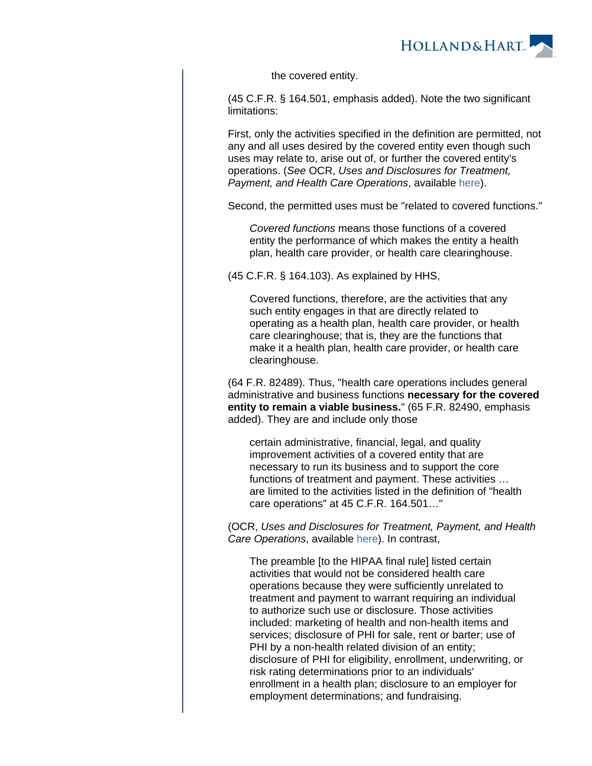

the covered entity.

(45 C.F.R. § 164.501, emphasis added). Note the two significant limitations:

First, only the activities specified in the definition are permitted, not any and all uses desired by the covered entity even though such uses may relate to, arise out of, or further the covered entity's operations. (See OCR, Uses and Disclosures for Treatment, Payment, and Health Care Operations, available [here\)](https://www.hhs.gov/hipaa/for-professionals/privacy/guidance/disclosures-treatment-payment-health-care-operations/index.html).

Second, the permitted uses must be "related to covered functions."

Covered functions means those functions of a covered entity the performance of which makes the entity a health plan, health care provider, or health care clearinghouse.

(45 C.F.R. § 164.103). As explained by HHS,

Covered functions, therefore, are the activities that any such entity engages in that are directly related to operating as a health plan, health care provider, or health care clearinghouse; that is, they are the functions that make it a health plan, health care provider, or health care clearinghouse.

(64 F.R. 82489). Thus, "health care operations includes general administrative and business functions **necessary for the covered entity to remain a viable business.**" (65 F.R. 82490, emphasis added). They are and include only those

certain administrative, financial, legal, and quality improvement activities of a covered entity that are necessary to run its business and to support the core functions of treatment and payment. These activities … are limited to the activities listed in the definition of "health care operations" at 45 C.F.R. 164.501…"

(OCR, Uses and Disclosures for Treatment, Payment, and Health Care Operations, available [here](https://www.hhs.gov/hipaa/for-professionals/privacy/guidance/disclosures-treatment-payment-health-care-operations/index.html)). In contrast,

The preamble [to the HIPAA final rule] listed certain activities that would not be considered health care operations because they were sufficiently unrelated to treatment and payment to warrant requiring an individual to authorize such use or disclosure. Those activities included: marketing of health and non-health items and services; disclosure of PHI for sale, rent or barter; use of PHI by a non-health related division of an entity; disclosure of PHI for eligibility, enrollment, underwriting, or risk rating determinations prior to an individuals' enrollment in a health plan; disclosure to an employer for employment determinations; and fundraising.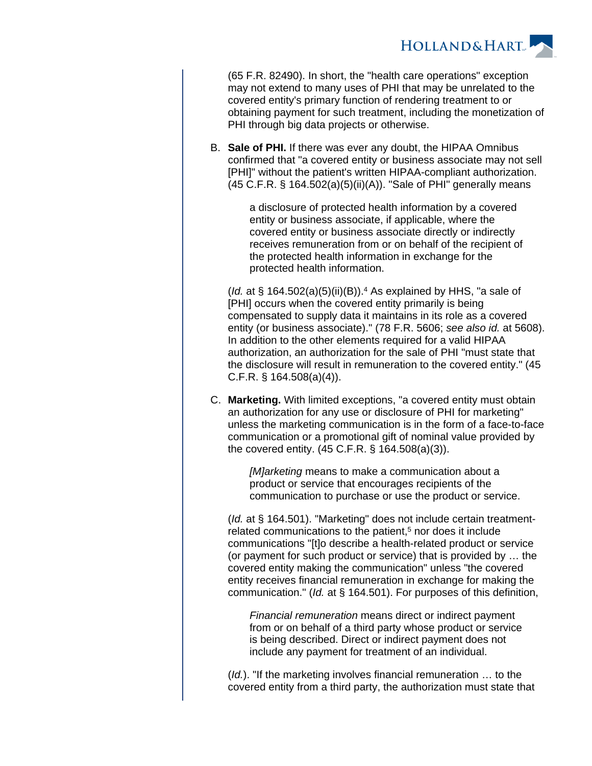

(65 F.R. 82490). In short, the "health care operations" exception may not extend to many uses of PHI that may be unrelated to the covered entity's primary function of rendering treatment to or obtaining payment for such treatment, including the monetization of PHI through big data projects or otherwise.

B. **Sale of PHI.** If there was ever any doubt, the HIPAA Omnibus confirmed that "a covered entity or business associate may not sell [PHI]" without the patient's written HIPAA-compliant authorization. (45 C.F.R. § 164.502(a)(5)(ii)(A)). "Sale of PHI" generally means

> a disclosure of protected health information by a covered entity or business associate, if applicable, where the covered entity or business associate directly or indirectly receives remuneration from or on behalf of the recipient of the protected health information in exchange for the protected health information.

(Id. at  $\S$  164.502(a)(5)(ii)(B)).<sup>4</sup> As explained by HHS, "a sale of [PHI] occurs when the covered entity primarily is being compensated to supply data it maintains in its role as a covered entity (or business associate)." (78 F.R. 5606; see also id. at 5608). In addition to the other elements required for a valid HIPAA authorization, an authorization for the sale of PHI "must state that the disclosure will result in remuneration to the covered entity." (45 C.F.R. § 164.508(a)(4)).

C. **Marketing.** With limited exceptions, "a covered entity must obtain an authorization for any use or disclosure of PHI for marketing" unless the marketing communication is in the form of a face-to-face communication or a promotional gift of nominal value provided by the covered entity. (45 C.F.R. § 164.508(a)(3)).

> [M]arketing means to make a communication about a product or service that encourages recipients of the communication to purchase or use the product or service.

(Id. at § 164.501). "Marketing" does not include certain treatmentrelated communications to the patient,<sup>5</sup> nor does it include communications "[t]o describe a health-related product or service (or payment for such product or service) that is provided by … the covered entity making the communication" unless "the covered entity receives financial remuneration in exchange for making the communication." (Id. at § 164.501). For purposes of this definition,

Financial remuneration means direct or indirect payment from or on behalf of a third party whose product or service is being described. Direct or indirect payment does not include any payment for treatment of an individual.

(*Id.*). "If the marketing involves financial remuneration ... to the covered entity from a third party, the authorization must state that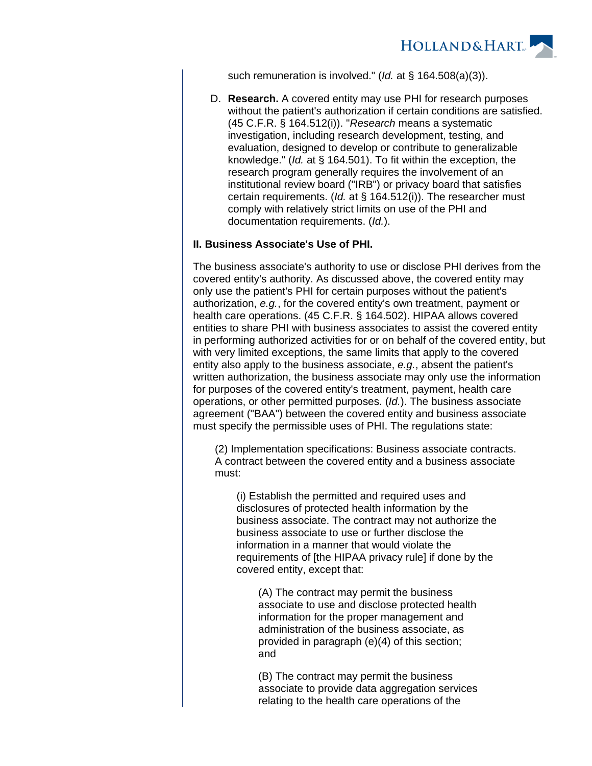

such remuneration is involved." (Id. at § 164.508(a)(3)).

D. **Research.** A covered entity may use PHI for research purposes without the patient's authorization if certain conditions are satisfied. (45 C.F.R. § 164.512(i)). "Research means a systematic investigation, including research development, testing, and evaluation, designed to develop or contribute to generalizable knowledge." (Id. at § 164.501). To fit within the exception, the research program generally requires the involvement of an institutional review board ("IRB") or privacy board that satisfies certain requirements. (Id. at § 164.512(i)). The researcher must comply with relatively strict limits on use of the PHI and documentation requirements. (Id.).

#### **II. Business Associate's Use of PHI.**

The business associate's authority to use or disclose PHI derives from the covered entity's authority. As discussed above, the covered entity may only use the patient's PHI for certain purposes without the patient's authorization, e.g., for the covered entity's own treatment, payment or health care operations. (45 C.F.R. § 164.502). HIPAA allows covered entities to share PHI with business associates to assist the covered entity in performing authorized activities for or on behalf of the covered entity, but with very limited exceptions, the same limits that apply to the covered entity also apply to the business associate, e.g., absent the patient's written authorization, the business associate may only use the information for purposes of the covered entity's treatment, payment, health care operations, or other permitted purposes. (Id.). The business associate agreement ("BAA") between the covered entity and business associate must specify the permissible uses of PHI. The regulations state:

(2) Implementation specifications: Business associate contracts. A contract between the covered entity and a business associate must:

(i) Establish the permitted and required uses and disclosures of protected health information by the business associate. The contract may not authorize the business associate to use or further disclose the information in a manner that would violate the requirements of [the HIPAA privacy rule] if done by the covered entity, except that:

(A) The contract may permit the business associate to use and disclose protected health information for the proper management and administration of the business associate, as provided in paragraph (e)(4) of this section; and

(B) The contract may permit the business associate to provide data aggregation services relating to the health care operations of the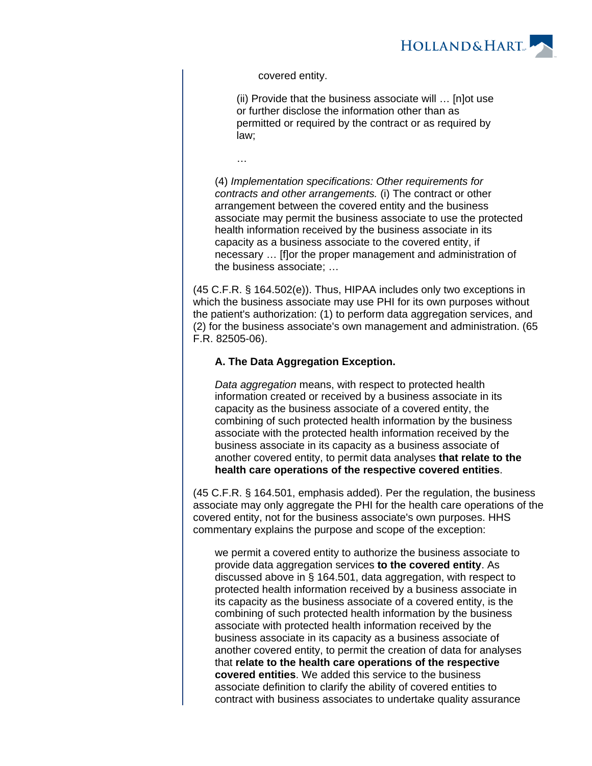

covered entity.

…

(ii) Provide that the business associate will … [n]ot use or further disclose the information other than as permitted or required by the contract or as required by law;

(4) Implementation specifications: Other requirements for contracts and other arrangements. (i) The contract or other arrangement between the covered entity and the business associate may permit the business associate to use the protected health information received by the business associate in its capacity as a business associate to the covered entity, if necessary … [f]or the proper management and administration of the business associate; …

(45 C.F.R. § 164.502(e)). Thus, HIPAA includes only two exceptions in which the business associate may use PHI for its own purposes without the patient's authorization: (1) to perform data aggregation services, and (2) for the business associate's own management and administration. (65 F.R. 82505-06).

#### **A. The Data Aggregation Exception.**

Data aggregation means, with respect to protected health information created or received by a business associate in its capacity as the business associate of a covered entity, the combining of such protected health information by the business associate with the protected health information received by the business associate in its capacity as a business associate of another covered entity, to permit data analyses **that relate to the health care operations of the respective covered entities**.

(45 C.F.R. § 164.501, emphasis added). Per the regulation, the business associate may only aggregate the PHI for the health care operations of the covered entity, not for the business associate's own purposes. HHS commentary explains the purpose and scope of the exception:

we permit a covered entity to authorize the business associate to provide data aggregation services **to the covered entity**. As discussed above in § 164.501, data aggregation, with respect to protected health information received by a business associate in its capacity as the business associate of a covered entity, is the combining of such protected health information by the business associate with protected health information received by the business associate in its capacity as a business associate of another covered entity, to permit the creation of data for analyses that **relate to the health care operations of the respective covered entities**. We added this service to the business associate definition to clarify the ability of covered entities to contract with business associates to undertake quality assurance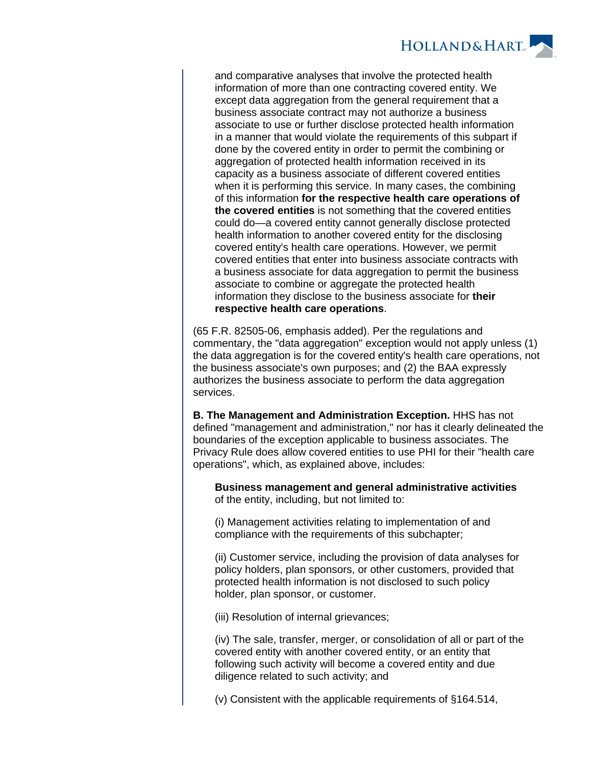

and comparative analyses that involve the protected health information of more than one contracting covered entity. We except data aggregation from the general requirement that a business associate contract may not authorize a business associate to use or further disclose protected health information in a manner that would violate the requirements of this subpart if done by the covered entity in order to permit the combining or aggregation of protected health information received in its capacity as a business associate of different covered entities when it is performing this service. In many cases, the combining of this information **for the respective health care operations of the covered entities** is not something that the covered entities could do—a covered entity cannot generally disclose protected health information to another covered entity for the disclosing covered entity's health care operations. However, we permit covered entities that enter into business associate contracts with a business associate for data aggregation to permit the business associate to combine or aggregate the protected health information they disclose to the business associate for **their respective health care operations**.

(65 F.R. 82505-06, emphasis added). Per the regulations and commentary, the "data aggregation" exception would not apply unless (1) the data aggregation is for the covered entity's health care operations, not the business associate's own purposes; and (2) the BAA expressly authorizes the business associate to perform the data aggregation services.

**B. The Management and Administration Exception.** HHS has not defined "management and administration," nor has it clearly delineated the boundaries of the exception applicable to business associates. The Privacy Rule does allow covered entities to use PHI for their "health care operations", which, as explained above, includes:

**Business management and general administrative activities** of the entity, including, but not limited to:

(i) Management activities relating to implementation of and compliance with the requirements of this subchapter;

(ii) Customer service, including the provision of data analyses for policy holders, plan sponsors, or other customers, provided that protected health information is not disclosed to such policy holder, plan sponsor, or customer.

(iii) Resolution of internal grievances;

(iv) The sale, transfer, merger, or consolidation of all or part of the covered entity with another covered entity, or an entity that following such activity will become a covered entity and due diligence related to such activity; and

(v) Consistent with the applicable requirements of §164.514,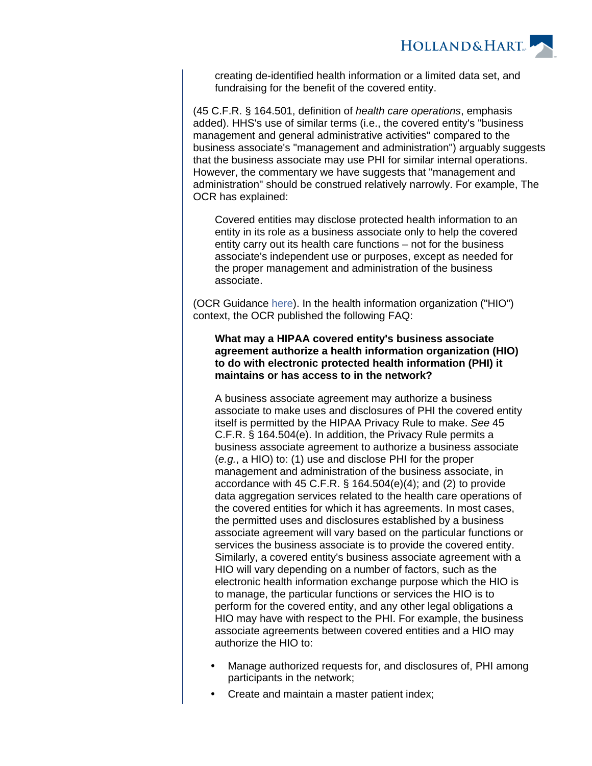

creating de-identified health information or a limited data set, and fundraising for the benefit of the covered entity.

(45 C.F.R. § 164.501, definition of health care operations, emphasis added). HHS's use of similar terms (i.e., the covered entity's "business management and general administrative activities" compared to the business associate's "management and administration") arguably suggests that the business associate may use PHI for similar internal operations. However, the commentary we have suggests that "management and administration" should be construed relatively narrowly. For example, The OCR has explained:

Covered entities may disclose protected health information to an entity in its role as a business associate only to help the covered entity carry out its health care functions – not for the business associate's independent use or purposes, except as needed for the proper management and administration of the business associate.

(OCR Guidance [here](https://www.hhs.gov/sites/default/files/ocr/privacy/hipaa/understanding/coveredentities/businessassociates.pdf)). In the health information organization ("HIO") context, the OCR published the following FAQ:

#### **What may a HIPAA covered entity's business associate agreement authorize a health information organization (HIO) to do with electronic protected health information (PHI) it maintains or has access to in the network?**

A business associate agreement may authorize a business associate to make uses and disclosures of PHI the covered entity itself is permitted by the HIPAA Privacy Rule to make. See 45 C.F.R. § 164.504(e). In addition, the Privacy Rule permits a business associate agreement to authorize a business associate (e.g., a HIO) to: (1) use and disclose PHI for the proper management and administration of the business associate, in accordance with 45 C.F.R. § 164.504(e)(4); and (2) to provide data aggregation services related to the health care operations of the covered entities for which it has agreements. In most cases, the permitted uses and disclosures established by a business associate agreement will vary based on the particular functions or services the business associate is to provide the covered entity. Similarly, a covered entity's business associate agreement with a HIO will vary depending on a number of factors, such as the electronic health information exchange purpose which the HIO is to manage, the particular functions or services the HIO is to perform for the covered entity, and any other legal obligations a HIO may have with respect to the PHI. For example, the business associate agreements between covered entities and a HIO may authorize the HIO to:

- Manage authorized requests for, and disclosures of, PHI among participants in the network;
- Create and maintain a master patient index;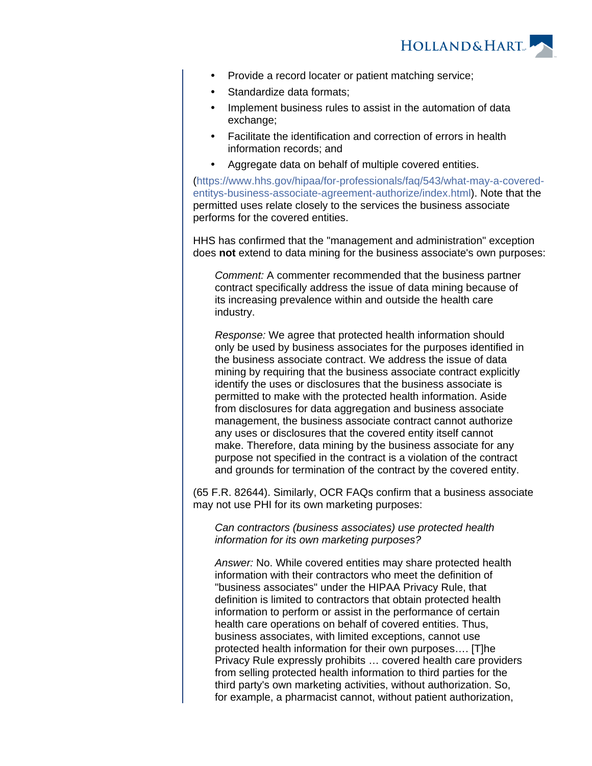

- Provide a record locater or patient matching service;
- Standardize data formats;
- Implement business rules to assist in the automation of data exchange;
- Facilitate the identification and correction of errors in health information records; and
- Aggregate data on behalf of multiple covered entities.

[\(https://www.hhs.gov/hipaa/for-professionals/faq/543/what-may-a-covered](https://www.hhs.gov/hipaa/for-professionals/faq/543/what-may-a-covered-entitys-business-associate-agreement-authorize/index.html)[entitys-business-associate-agreement-authorize/index.html](https://www.hhs.gov/hipaa/for-professionals/faq/543/what-may-a-covered-entitys-business-associate-agreement-authorize/index.html)). Note that the permitted uses relate closely to the services the business associate performs for the covered entities.

HHS has confirmed that the "management and administration" exception does **not** extend to data mining for the business associate's own purposes:

Comment: A commenter recommended that the business partner contract specifically address the issue of data mining because of its increasing prevalence within and outside the health care industry.

Response: We agree that protected health information should only be used by business associates for the purposes identified in the business associate contract. We address the issue of data mining by requiring that the business associate contract explicitly identify the uses or disclosures that the business associate is permitted to make with the protected health information. Aside from disclosures for data aggregation and business associate management, the business associate contract cannot authorize any uses or disclosures that the covered entity itself cannot make. Therefore, data mining by the business associate for any purpose not specified in the contract is a violation of the contract and grounds for termination of the contract by the covered entity.

(65 F.R. 82644). Similarly, OCR FAQs confirm that a business associate may not use PHI for its own marketing purposes:

Can contractors (business associates) use protected health information for its own marketing purposes?

Answer: No. While covered entities may share protected health information with their contractors who meet the definition of "business associates" under the HIPAA Privacy Rule, that definition is limited to contractors that obtain protected health information to perform or assist in the performance of certain health care operations on behalf of covered entities. Thus, business associates, with limited exceptions, cannot use protected health information for their own purposes…. [T]he Privacy Rule expressly prohibits … covered health care providers from selling protected health information to third parties for the third party's own marketing activities, without authorization. So, for example, a pharmacist cannot, without patient authorization,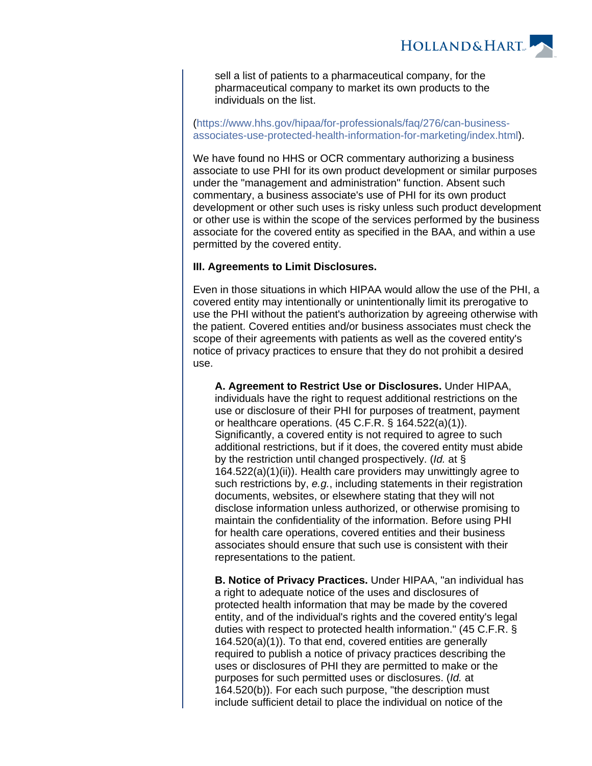

sell a list of patients to a pharmaceutical company, for the pharmaceutical company to market its own products to the individuals on the list.

#### [\(https://www.hhs.gov/hipaa/for-professionals/faq/276/can-business](https://www.hhs.gov/hipaa/for-professionals/faq/276/can-business-associates-use-protected-health-information-for-marketing/index.html)[associates-use-protected-health-information-for-marketing/index.html](https://www.hhs.gov/hipaa/for-professionals/faq/276/can-business-associates-use-protected-health-information-for-marketing/index.html)).

We have found no HHS or OCR commentary authorizing a business associate to use PHI for its own product development or similar purposes under the "management and administration" function. Absent such commentary, a business associate's use of PHI for its own product development or other such uses is risky unless such product development or other use is within the scope of the services performed by the business associate for the covered entity as specified in the BAA, and within a use permitted by the covered entity.

#### **III. Agreements to Limit Disclosures.**

Even in those situations in which HIPAA would allow the use of the PHI, a covered entity may intentionally or unintentionally limit its prerogative to use the PHI without the patient's authorization by agreeing otherwise with the patient. Covered entities and/or business associates must check the scope of their agreements with patients as well as the covered entity's notice of privacy practices to ensure that they do not prohibit a desired use.

**A. Agreement to Restrict Use or Disclosures.** Under HIPAA, individuals have the right to request additional restrictions on the use or disclosure of their PHI for purposes of treatment, payment or healthcare operations. (45 C.F.R. § 164.522(a)(1)). Significantly, a covered entity is not required to agree to such additional restrictions, but if it does, the covered entity must abide by the restriction until changed prospectively. (Id. at § 164.522(a)(1)(ii)). Health care providers may unwittingly agree to such restrictions by, e.g., including statements in their registration documents, websites, or elsewhere stating that they will not disclose information unless authorized, or otherwise promising to maintain the confidentiality of the information. Before using PHI for health care operations, covered entities and their business associates should ensure that such use is consistent with their representations to the patient.

**B. Notice of Privacy Practices.** Under HIPAA, "an individual has a right to adequate notice of the uses and disclosures of protected health information that may be made by the covered entity, and of the individual's rights and the covered entity's legal duties with respect to protected health information." (45 C.F.R. § 164.520(a)(1)). To that end, covered entities are generally required to publish a notice of privacy practices describing the uses or disclosures of PHI they are permitted to make or the purposes for such permitted uses or disclosures. (Id. at 164.520(b)). For each such purpose, "the description must include sufficient detail to place the individual on notice of the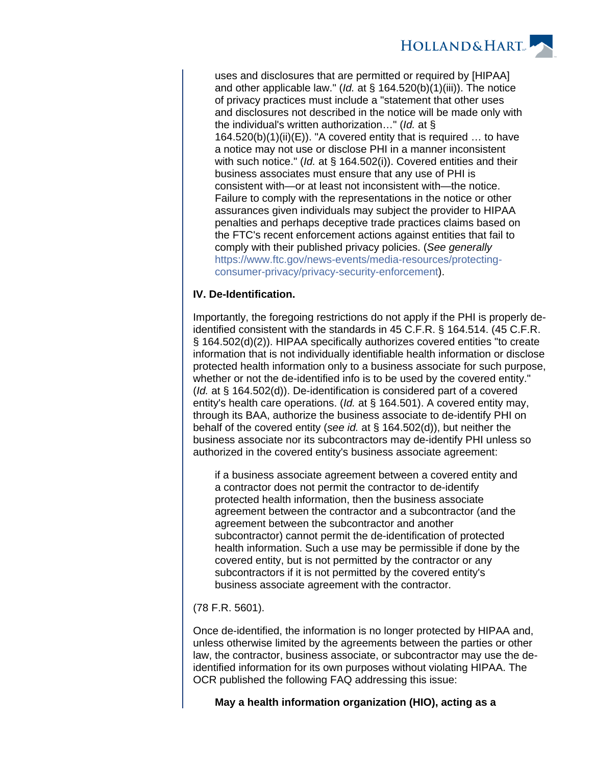

uses and disclosures that are permitted or required by [HIPAA] and other applicable law." (*Id.* at  $\S$  164.520(b)(1)(iii)). The notice of privacy practices must include a "statement that other uses and disclosures not described in the notice will be made only with the individual's written authorization..." (*Id.* at  $\S$ )  $164.520(b)(1)(ii)(E)$ . "A covered entity that is required ... to have a notice may not use or disclose PHI in a manner inconsistent with such notice." (Id. at § 164.502(i)). Covered entities and their business associates must ensure that any use of PHI is consistent with—or at least not inconsistent with—the notice. Failure to comply with the representations in the notice or other assurances given individuals may subject the provider to HIPAA penalties and perhaps deceptive trade practices claims based on the FTC's recent enforcement actions against entities that fail to comply with their published privacy policies. (See generally [https://www.ftc.gov/news-events/media-resources/protecting](https://www.ftc.gov/news-events/media-resources/protecting-consumer-privacy/privacy-security-enforcement)[consumer-privacy/privacy-security-enforcement](https://www.ftc.gov/news-events/media-resources/protecting-consumer-privacy/privacy-security-enforcement)).

#### **IV. De-Identification.**

Importantly, the foregoing restrictions do not apply if the PHI is properly deidentified consistent with the standards in 45 C.F.R. § 164.514. (45 C.F.R. § 164.502(d)(2)). HIPAA specifically authorizes covered entities "to create information that is not individually identifiable health information or disclose protected health information only to a business associate for such purpose, whether or not the de-identified info is to be used by the covered entity." (Id. at § 164.502(d)). De-identification is considered part of a covered entity's health care operations. (Id. at § 164.501). A covered entity may, through its BAA, authorize the business associate to de-identify PHI on behalf of the covered entity (see id. at § 164.502(d)), but neither the business associate nor its subcontractors may de-identify PHI unless so authorized in the covered entity's business associate agreement:

if a business associate agreement between a covered entity and a contractor does not permit the contractor to de-identify protected health information, then the business associate agreement between the contractor and a subcontractor (and the agreement between the subcontractor and another subcontractor) cannot permit the de-identification of protected health information. Such a use may be permissible if done by the covered entity, but is not permitted by the contractor or any subcontractors if it is not permitted by the covered entity's business associate agreement with the contractor.

#### (78 F.R. 5601).

Once de-identified, the information is no longer protected by HIPAA and, unless otherwise limited by the agreements between the parties or other law, the contractor, business associate, or subcontractor may use the deidentified information for its own purposes without violating HIPAA. The OCR published the following FAQ addressing this issue:

#### **May a health information organization (HIO), acting as a**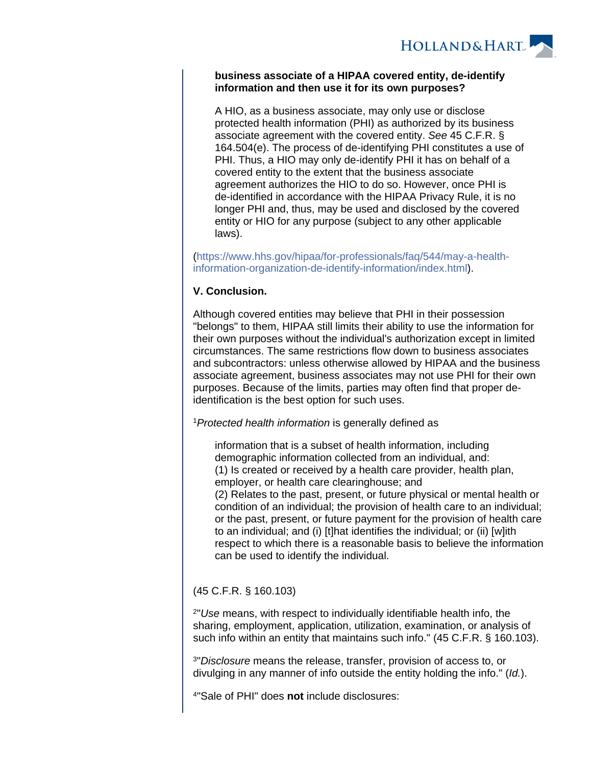

#### **business associate of a HIPAA covered entity, de-identify information and then use it for its own purposes?**

A HIO, as a business associate, may only use or disclose protected health information (PHI) as authorized by its business associate agreement with the covered entity. See 45 C.F.R. § 164.504(e). The process of de-identifying PHI constitutes a use of PHI. Thus, a HIO may only de-identify PHI it has on behalf of a covered entity to the extent that the business associate agreement authorizes the HIO to do so. However, once PHI is de-identified in accordance with the HIPAA Privacy Rule, it is no longer PHI and, thus, may be used and disclosed by the covered entity or HIO for any purpose (subject to any other applicable laws).

[\(https://www.hhs.gov/hipaa/for-professionals/faq/544/may-a-health](https://www.hhs.gov/hipaa/for-professionals/faq/544/may-a-health-information-organization-de-identify-information/index.html)[information-organization-de-identify-information/index.html](https://www.hhs.gov/hipaa/for-professionals/faq/544/may-a-health-information-organization-de-identify-information/index.html)).

#### **V. Conclusion.**

Although covered entities may believe that PHI in their possession "belongs" to them, HIPAA still limits their ability to use the information for their own purposes without the individual's authorization except in limited circumstances. The same restrictions flow down to business associates and subcontractors: unless otherwise allowed by HIPAA and the business associate agreement, business associates may not use PHI for their own purposes. Because of the limits, parties may often find that proper deidentification is the best option for such uses.

<sup>1</sup> Protected health information is generally defined as

information that is a subset of health information, including demographic information collected from an individual, and: (1) Is created or received by a health care provider, health plan, employer, or health care clearinghouse; and (2) Relates to the past, present, or future physical or mental health or condition of an individual; the provision of health care to an individual; or the past, present, or future payment for the provision of health care to an individual; and (i) [t]hat identifies the individual; or (ii) [w]ith respect to which there is a reasonable basis to believe the information can be used to identify the individual.

### (45 C.F.R. § 160.103)

2 "Use means, with respect to individually identifiable health info, the sharing, employment, application, utilization, examination, or analysis of such info within an entity that maintains such info." (45 C.F.R. § 160.103).

<sup>3</sup>"Disclosure means the release, transfer, provision of access to, or divulging in any manner of info outside the entity holding the info." (Id.).

4 "Sale of PHI" does **not** include disclosures: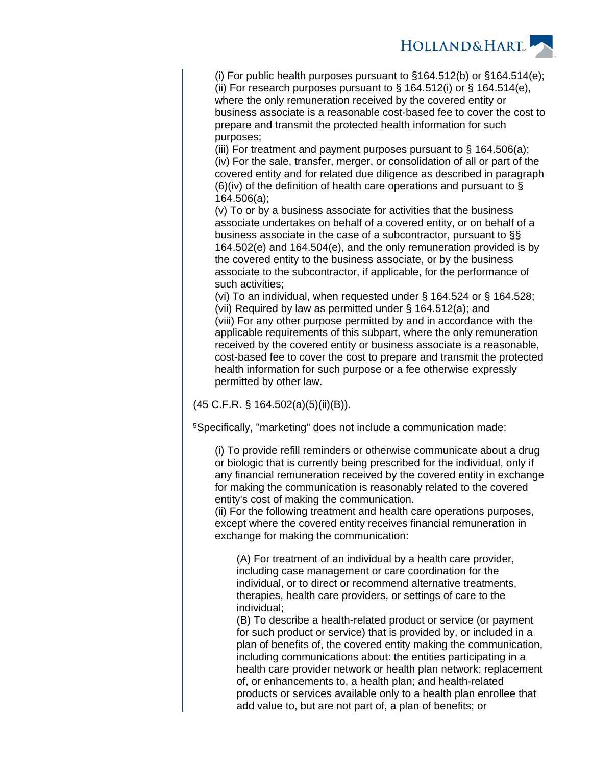

(i) For public health purposes pursuant to  $§164.512(b)$  or  $§164.514(e);$ (ii) For research purposes pursuant to  $\S$  164.512(i) or  $\S$  164.514(e), where the only remuneration received by the covered entity or business associate is a reasonable cost-based fee to cover the cost to prepare and transmit the protected health information for such purposes;

(iii) For treatment and payment purposes pursuant to  $\S$  164.506(a); (iv) For the sale, transfer, merger, or consolidation of all or part of the covered entity and for related due diligence as described in paragraph (6)(iv) of the definition of health care operations and pursuant to  $\S$ 164.506(a);

(v) To or by a business associate for activities that the business associate undertakes on behalf of a covered entity, or on behalf of a business associate in the case of a subcontractor, pursuant to §§ 164.502(e) and 164.504(e), and the only remuneration provided is by the covered entity to the business associate, or by the business associate to the subcontractor, if applicable, for the performance of such activities;

(vi) To an individual, when requested under § 164.524 or § 164.528; (vii) Required by law as permitted under § 164.512(a); and (viii) For any other purpose permitted by and in accordance with the applicable requirements of this subpart, where the only remuneration received by the covered entity or business associate is a reasonable, cost-based fee to cover the cost to prepare and transmit the protected health information for such purpose or a fee otherwise expressly permitted by other law.

(45 C.F.R. § 164.502(a)(5)(ii)(B)).

<sup>5</sup>Specifically, "marketing" does not include a communication made:

(i) To provide refill reminders or otherwise communicate about a drug or biologic that is currently being prescribed for the individual, only if any financial remuneration received by the covered entity in exchange for making the communication is reasonably related to the covered entity's cost of making the communication.

(ii) For the following treatment and health care operations purposes, except where the covered entity receives financial remuneration in exchange for making the communication:

(A) For treatment of an individual by a health care provider, including case management or care coordination for the individual, or to direct or recommend alternative treatments, therapies, health care providers, or settings of care to the individual;

(B) To describe a health-related product or service (or payment for such product or service) that is provided by, or included in a plan of benefits of, the covered entity making the communication, including communications about: the entities participating in a health care provider network or health plan network; replacement of, or enhancements to, a health plan; and health-related products or services available only to a health plan enrollee that add value to, but are not part of, a plan of benefits; or